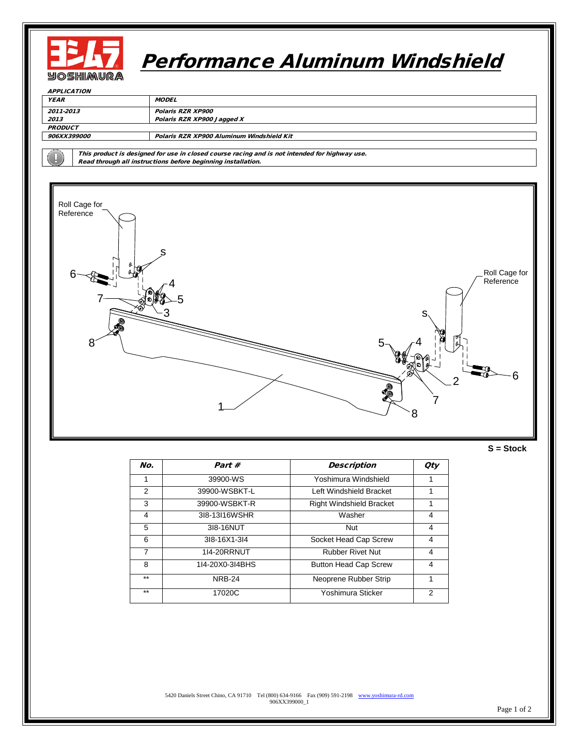

## Performance Aluminum Windshield

| <b>APPLICATION</b>                                                                            |                                           |  |  |  |
|-----------------------------------------------------------------------------------------------|-------------------------------------------|--|--|--|
| <b>YEAR</b><br><b>MODEL</b>                                                                   |                                           |  |  |  |
| 2011-2013                                                                                     | Polaris RZR XP900                         |  |  |  |
| 2013                                                                                          | Polaris RZR XP900 Jagged X                |  |  |  |
| <b>PRODUCT</b>                                                                                |                                           |  |  |  |
| <i>906XX399000</i>                                                                            | Polaris RZR XP900 Aluminum Windshield Kit |  |  |  |
|                                                                                               |                                           |  |  |  |
| This product is designed for use in closed course racing and is not intended for highway use. |                                           |  |  |  |

Read through all instructions before beginning installation.



**S = Stock**

| No.   | Part #             | Description                     | <b>Oty</b> |
|-------|--------------------|---------------------------------|------------|
|       | 39900-WS           | Yoshimura Windshield            |            |
| 2     | 39900-WSBKT-L      | Left Windshield Bracket         |            |
| 3     | 39900-WSBKT-R      | <b>Right Windshield Bracket</b> |            |
| 4     | 318-13116WSHR      | Washer                          | 4          |
| 5     | 318-16NUT          | <b>Nut</b>                      | 4          |
| 6     | 318-16X1-314       | Socket Head Cap Screw           | 4          |
| 7     | <b>1I4-20RRNUT</b> | <b>Rubber Rivet Nut</b>         | 4          |
| 8     | 114-20X0-314BHS    | <b>Button Head Cap Screw</b>    | 4          |
| $***$ | <b>NRB-24</b>      | Neoprene Rubber Strip           | 1          |
| $***$ | 17020C             | Yoshimura Sticker               | 2          |